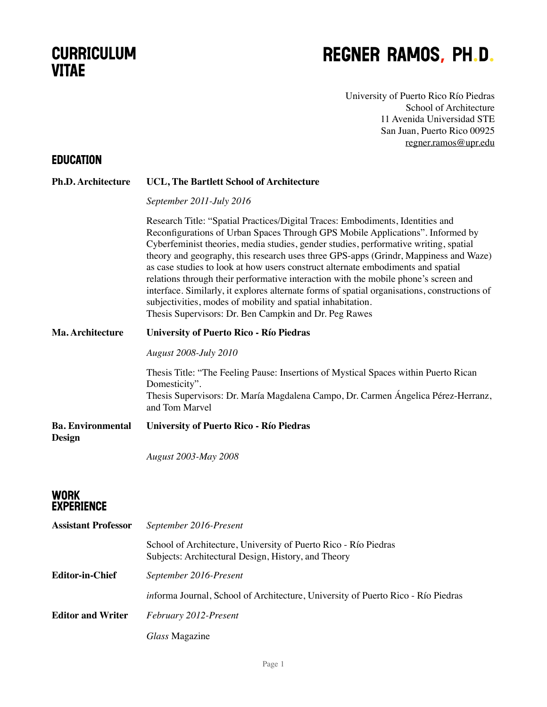## CURRICULUM VITAE

# REGNER RAMOS, PH.D.

University of Puerto Rico Río Piedras School of Architecture 11 Avenida Universidad STE San Juan, Puerto Rico 00925 [regner.ramos@upr.edu](mailto:regner.ramos@upr.edu)

## **EDUCATION**

| <b>Ph.D. Architecture</b>                 | UCL, The Bartlett School of Architecture                                                                                                                                                                                                                                                                                                                                                                                                                                                                                                                                                                                                                                                                                                            |
|-------------------------------------------|-----------------------------------------------------------------------------------------------------------------------------------------------------------------------------------------------------------------------------------------------------------------------------------------------------------------------------------------------------------------------------------------------------------------------------------------------------------------------------------------------------------------------------------------------------------------------------------------------------------------------------------------------------------------------------------------------------------------------------------------------------|
|                                           | September 2011-July 2016                                                                                                                                                                                                                                                                                                                                                                                                                                                                                                                                                                                                                                                                                                                            |
|                                           | Research Title: "Spatial Practices/Digital Traces: Embodiments, Identities and<br>Reconfigurations of Urban Spaces Through GPS Mobile Applications". Informed by<br>Cyberfeminist theories, media studies, gender studies, performative writing, spatial<br>theory and geography, this research uses three GPS-apps (Grindr, Mappiness and Waze)<br>as case studies to look at how users construct alternate embodiments and spatial<br>relations through their performative interaction with the mobile phone's screen and<br>interface. Similarly, it explores alternate forms of spatial organisations, constructions of<br>subjectivities, modes of mobility and spatial inhabitation.<br>Thesis Supervisors: Dr. Ben Campkin and Dr. Peg Rawes |
| Ma. Architecture                          | <b>University of Puerto Rico - Río Piedras</b>                                                                                                                                                                                                                                                                                                                                                                                                                                                                                                                                                                                                                                                                                                      |
|                                           | <b>August 2008-July 2010</b>                                                                                                                                                                                                                                                                                                                                                                                                                                                                                                                                                                                                                                                                                                                        |
|                                           | Thesis Title: "The Feeling Pause: Insertions of Mystical Spaces within Puerto Rican<br>Domesticity".<br>Thesis Supervisors: Dr. María Magdalena Campo, Dr. Carmen Ángelica Pérez-Herranz,<br>and Tom Marvel                                                                                                                                                                                                                                                                                                                                                                                                                                                                                                                                         |
| <b>Ba. Environmental</b><br><b>Design</b> | <b>University of Puerto Rico - Río Piedras</b>                                                                                                                                                                                                                                                                                                                                                                                                                                                                                                                                                                                                                                                                                                      |

*August 2003-May 2008*

#### WORK EXPERIENCE

| <b>Assistant Professor</b> | September 2016-Present                                                                                                 |
|----------------------------|------------------------------------------------------------------------------------------------------------------------|
|                            | School of Architecture, University of Puerto Rico - Río Piedras<br>Subjects: Architectural Design, History, and Theory |
| <b>Editor-in-Chief</b>     | September 2016-Present                                                                                                 |
|                            | <i>informa Journal, School of Architecture, University of Puerto Rico - Río Piedras</i>                                |
| <b>Editor and Writer</b>   | February 2012-Present                                                                                                  |
|                            | <i>Glass</i> Magazine                                                                                                  |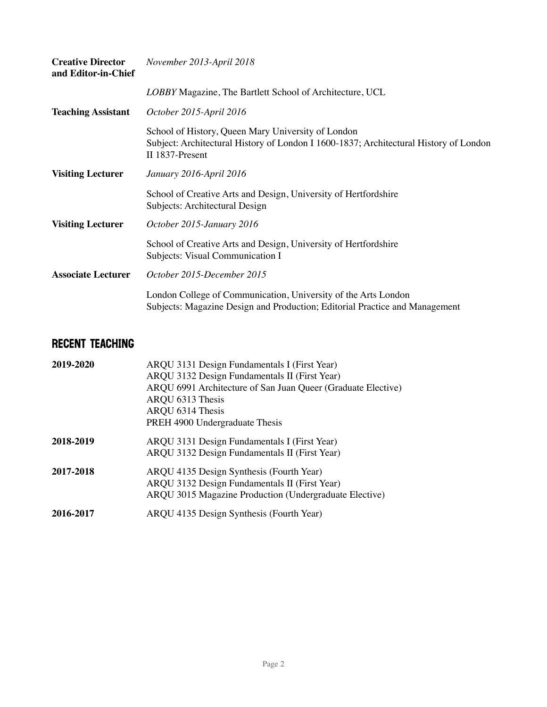| <b>Creative Director</b><br>and Editor-in-Chief | November 2013-April 2018                                                                                                                                       |
|-------------------------------------------------|----------------------------------------------------------------------------------------------------------------------------------------------------------------|
|                                                 | LOBBY Magazine, The Bartlett School of Architecture, UCL                                                                                                       |
| <b>Teaching Assistant</b>                       | October 2015-April 2016                                                                                                                                        |
|                                                 | School of History, Queen Mary University of London<br>Subject: Architectural History of London I 1600-1837; Architectural History of London<br>II 1837-Present |
| <b>Visiting Lecturer</b>                        | January 2016-April 2016                                                                                                                                        |
|                                                 | School of Creative Arts and Design, University of Hertfordshire<br>Subjects: Architectural Design                                                              |
| <b>Visiting Lecturer</b>                        | October 2015-January 2016                                                                                                                                      |
|                                                 | School of Creative Arts and Design, University of Hertfordshire<br>Subjects: Visual Communication I                                                            |
| <b>Associate Lecturer</b>                       | October 2015-December 2015                                                                                                                                     |
|                                                 | London College of Communication, University of the Arts London<br>Subjects: Magazine Design and Production; Editorial Practice and Management                  |

## RECENT TEACHING

| 2019-2020 | ARQU 3131 Design Fundamentals I (First Year)<br>ARQU 3132 Design Fundamentals II (First Year)<br>ARQU 6991 Architecture of San Juan Queer (Graduate Elective)<br>ARQU 6313 Thesis |
|-----------|-----------------------------------------------------------------------------------------------------------------------------------------------------------------------------------|
|           | ARQU 6314 Thesis<br>PREH 4900 Undergraduate Thesis                                                                                                                                |
| 2018-2019 | ARQU 3131 Design Fundamentals I (First Year)<br>ARQU 3132 Design Fundamentals II (First Year)                                                                                     |
| 2017-2018 | ARQU 4135 Design Synthesis (Fourth Year)<br>ARQU 3132 Design Fundamentals II (First Year)<br>ARQU 3015 Magazine Production (Undergraduate Elective)                               |
| 2016-2017 | ARQU 4135 Design Synthesis (Fourth Year)                                                                                                                                          |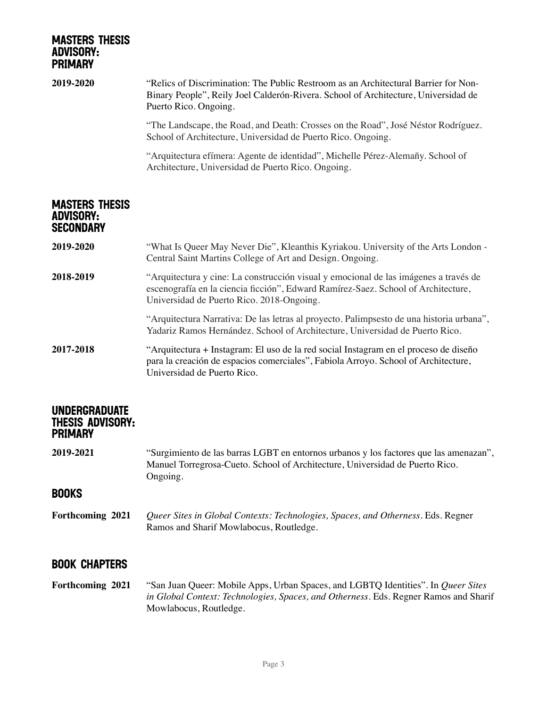#### MASTERS THESIS ADVISORY: PRIMARY

| 2019-2020                                                         | "Relics of Discrimination: The Public Restroom as an Architectural Barrier for Non-<br>Binary People", Reily Joel Calderón-Rivera. School of Architecture, Universidad de<br>Puerto Rico. Ongoing.                     |
|-------------------------------------------------------------------|------------------------------------------------------------------------------------------------------------------------------------------------------------------------------------------------------------------------|
|                                                                   | "The Landscape, the Road, and Death: Crosses on the Road", José Néstor Rodríguez.<br>School of Architecture, Universidad de Puerto Rico. Ongoing.                                                                      |
|                                                                   | "Arquitectura efímera: Agente de identidad", Michelle Pérez-Alemañy. School of<br>Architecture, Universidad de Puerto Rico. Ongoing.                                                                                   |
| <b>MASTERS THESIS</b><br><b>ADVISORY:</b><br><b>SECONDARY</b>     |                                                                                                                                                                                                                        |
| 2019-2020                                                         | "What Is Queer May Never Die", Kleanthis Kyriakou. University of the Arts London -<br>Central Saint Martins College of Art and Design. Ongoing.                                                                        |
| 2018-2019                                                         | "Arquitectura y cine: La construcción visual y emocional de las imágenes a través de<br>escenografía en la ciencia ficción", Edward Ramírez-Saez. School of Architecture,<br>Universidad de Puerto Rico. 2018-Ongoing. |
|                                                                   | "Arquitectura Narrativa: De las letras al proyecto. Palimpsesto de una historia urbana",<br>Yadariz Ramos Hernández. School of Architecture, Universidad de Puerto Rico.                                               |
| 2017-2018                                                         | "Arquitectura + Instagram: El uso de la red social Instagram en el proceso de diseño<br>para la creación de espacios comerciales", Fabiola Arroyo. School of Architecture,<br>Universidad de Puerto Rico.              |
| <b>UNDERGRADUATE</b><br><b>THESIS ADVISORY:</b><br><b>PRIMARY</b> |                                                                                                                                                                                                                        |
| 2019-2021                                                         | "Surgimiento de las barras LGBT en entornos urbanos y los factores que las amenazan",<br>Manuel Torregrosa-Cueto. School of Architecture, Universidad de Puerto Rico.<br>Ongoing.                                      |
| <b>BOOKS</b>                                                      |                                                                                                                                                                                                                        |
| Forthcoming 2021                                                  | Queer Sites in Global Contexts: Technologies, Spaces, and Otherness. Eds. Regner<br>Ramos and Sharif Mowlabocus, Routledge.                                                                                            |
| <b>BOOK CHAPTERS</b>                                              |                                                                                                                                                                                                                        |
| Forthcoming 2021                                                  | "San Juan Queer: Mobile Apps, Urban Spaces, and LGBTQ Identities". In Queer Sites<br>in Global Context: Technologies, Spaces, and Otherness. Eds. Regner Ramos and Sharif<br>Mowlabocus, Routledge.                    |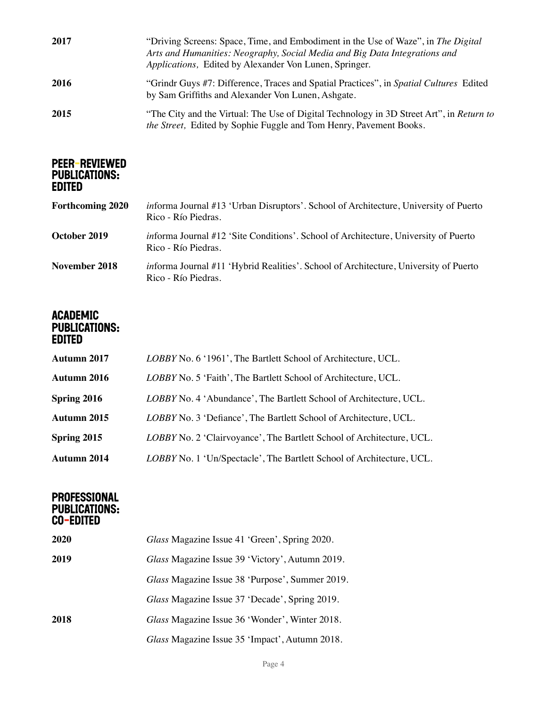| 2017 | "Driving Screens: Space, Time, and Embodiment in the Use of Waze", in The Digital<br>Arts and Humanities: Neography, Social Media and Big Data Integrations and<br>Applications, Edited by Alexander Von Lunen, Springer. |
|------|---------------------------------------------------------------------------------------------------------------------------------------------------------------------------------------------------------------------------|
| 2016 | "Grindr Guys #7: Difference, Traces and Spatial Practices", in Spatial Cultures Edited<br>by Sam Griffiths and Alexander Von Lunen, Ashgate.                                                                              |
| 2015 | "The City and the Virtual: The Use of Digital Technology in 3D Street Art", in Return to<br>the Street, Edited by Sophie Fuggle and Tom Henry, Pavement Books.                                                            |

#### PEER-REVIEWED PUBLICATIONS: EDITED

| <b>Forthcoming 2020</b> | <i>informa Journal #13 'Urban Disruptors'. School of Architecture, University of Puerto</i><br>Rico - Río Piedras. |
|-------------------------|--------------------------------------------------------------------------------------------------------------------|
| October 2019            | <i>informa Journal #12 'Site Conditions'. School of Architecture, University of Puerto</i><br>Rico - Río Piedras.  |
| November 2018           | informa Journal #11 'Hybrid Realities'. School of Architecture, University of Puerto<br>Rico - Río Piedras.        |

#### ACADEMIC PUBLICATIONS: EDITED

| <b>Autumn 2017</b> | LOBBY No. 6 '1961', The Bartlett School of Architecture, UCL.         |
|--------------------|-----------------------------------------------------------------------|
| <b>Autumn 2016</b> | LOBBY No. 5 'Faith', The Bartlett School of Architecture, UCL.        |
| Spring 2016        | LOBBY No. 4 'Abundance', The Bartlett School of Architecture, UCL.    |
| Autumn 2015        | LOBBY No. 3 'Defiance', The Bartlett School of Architecture, UCL.     |
| Spring 2015        | LOBBY No. 2 'Clairvoyance', The Bartlett School of Architecture, UCL. |
| Autumn 2014        | LOBBY No. 1 'Un/Spectacle', The Bartlett School of Architecture, UCL. |

#### PROFESSIONAL PUBLICATIONS: CO-EDITED

| 2020 | Glass Magazine Issue 41 'Green', Spring 2020.   |
|------|-------------------------------------------------|
| 2019 | Glass Magazine Issue 39 'Victory', Autumn 2019. |
|      | Glass Magazine Issue 38 'Purpose', Summer 2019. |
|      | Glass Magazine Issue 37 'Decade', Spring 2019.  |
| 2018 | Glass Magazine Issue 36 'Wonder', Winter 2018.  |
|      | Glass Magazine Issue 35 'Impact', Autumn 2018.  |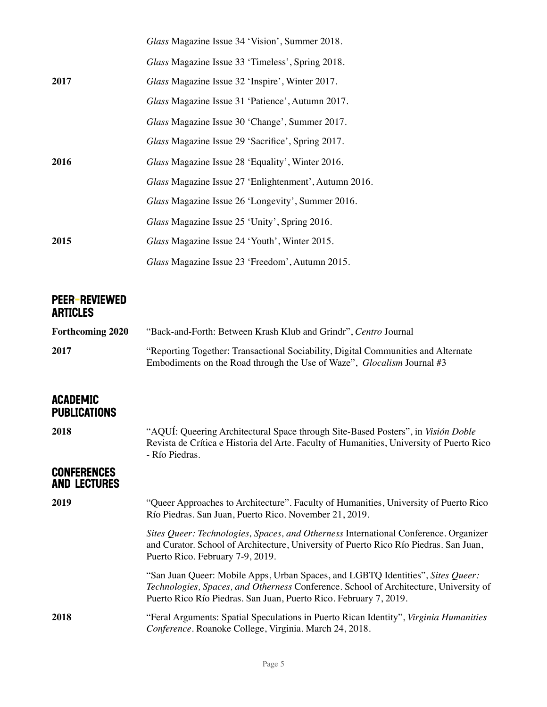|      | Glass Magazine Issue 34 'Vision', Summer 2018.        |
|------|-------------------------------------------------------|
|      | Glass Magazine Issue 33 'Timeless', Spring 2018.      |
| 2017 | Glass Magazine Issue 32 'Inspire', Winter 2017.       |
|      | Glass Magazine Issue 31 'Patience', Autumn 2017.      |
|      | Glass Magazine Issue 30 'Change', Summer 2017.        |
|      | Glass Magazine Issue 29 'Sacrifice', Spring 2017.     |
| 2016 | Glass Magazine Issue 28 'Equality', Winter 2016.      |
|      | Glass Magazine Issue 27 'Enlightenment', Autumn 2016. |
|      | Glass Magazine Issue 26 'Longevity', Summer 2016.     |
|      | Glass Magazine Issue 25 'Unity', Spring 2016.         |
| 2015 | Glass Magazine Issue 24 'Youth', Winter 2015.         |
|      | Glass Magazine Issue 23 'Freedom', Autumn 2015.       |

## PEER-REVIEWED ARTICLES

| <b>Forthcoming 2020</b> | "Back-and-Forth: Between Krash Klub and Grindr", Centro Journal                                                                                                    |
|-------------------------|--------------------------------------------------------------------------------------------------------------------------------------------------------------------|
| 2017                    | "Reporting Together: Transactional Sociability, Digital Communities and Alternate<br>Embodiments on the Road through the Use of Waze", <i>Glocalism</i> Journal #3 |

### ACADEMIC **PUBLICATIONS**

| 2018                                      | "AOUÍ: Queering Architectural Space through Site-Based Posters", in Visión Doble<br>Revista de Crítica e Historia del Arte. Faculty of Humanities, University of Puerto Rico<br>- Río Piedras.                                                |
|-------------------------------------------|-----------------------------------------------------------------------------------------------------------------------------------------------------------------------------------------------------------------------------------------------|
| <b>CONFERENCES</b><br><b>AND LECTURES</b> |                                                                                                                                                                                                                                               |
| 2019                                      | "Queer Approaches to Architecture". Faculty of Humanities, University of Puerto Rico<br>Río Piedras. San Juan, Puerto Rico. November 21, 2019.                                                                                                |
|                                           | Sites Queer: Technologies, Spaces, and Otherness International Conference. Organizer<br>and Curator. School of Architecture, University of Puerto Rico Río Piedras. San Juan,<br>Puerto Rico. February 7-9, 2019.                             |
|                                           | "San Juan Queer: Mobile Apps, Urban Spaces, and LGBTQ Identities", Sites Queer:<br>Technologies, Spaces, and Otherness Conference. School of Architecture, University of<br>Puerto Rico Río Piedras. San Juan, Puerto Rico. February 7, 2019. |
| 2018                                      | "Feral Arguments: Spatial Speculations in Puerto Rican Identity", Virginia Humanities<br>Conference. Roanoke College, Virginia. March 24, 2018.                                                                                               |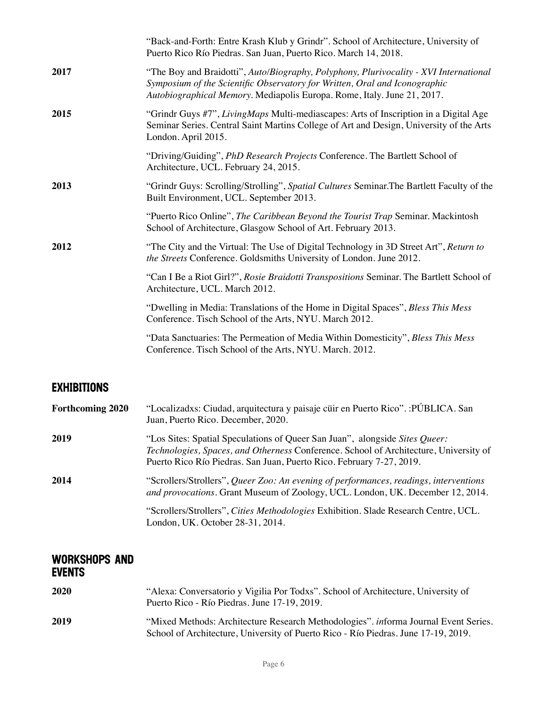|      | "Back-and-Forth: Entre Krash Klub y Grindr". School of Architecture, University of<br>Puerto Rico Río Piedras. San Juan, Puerto Rico. March 14, 2018.                                                                                          |
|------|------------------------------------------------------------------------------------------------------------------------------------------------------------------------------------------------------------------------------------------------|
| 2017 | "The Boy and Braidotti", Auto/Biography, Polyphony, Plurivocality - XVI International<br>Symposium of the Scientific Observatory for Written, Oral and Iconographic<br>Autobiographical Memory. Mediapolis Europa. Rome, Italy. June 21, 2017. |
| 2015 | "Grindr Guys #7", Living Maps Multi-mediascapes: Arts of Inscription in a Digital Age<br>Seminar Series. Central Saint Martins College of Art and Design, University of the Arts<br>London. April 2015.                                        |
|      | "Driving/Guiding", PhD Research Projects Conference. The Bartlett School of<br>Architecture, UCL. February 24, 2015.                                                                                                                           |
| 2013 | "Grindr Guys: Scrolling/Strolling", Spatial Cultures Seminar. The Bartlett Faculty of the<br>Built Environment, UCL. September 2013.                                                                                                           |
|      | "Puerto Rico Online", The Caribbean Beyond the Tourist Trap Seminar. Mackintosh<br>School of Architecture, Glasgow School of Art. February 2013.                                                                                               |
| 2012 | "The City and the Virtual: The Use of Digital Technology in 3D Street Art", Return to<br>the Streets Conference. Goldsmiths University of London. June 2012.                                                                                   |
|      | "Can I Be a Riot Girl?", Rosie Braidotti Transpositions Seminar. The Bartlett School of<br>Architecture, UCL. March 2012.                                                                                                                      |
|      | "Dwelling in Media: Translations of the Home in Digital Spaces", Bless This Mess<br>Conference. Tisch School of the Arts, NYU. March 2012.                                                                                                     |
|      | "Data Sanctuaries: The Permeation of Media Within Domesticity", Bless This Mess<br>Conference. Tisch School of the Arts, NYU. March. 2012.                                                                                                     |
|      |                                                                                                                                                                                                                                                |

## EXHIBITIONS

| <b>Forthcoming 2020</b> | "Localizadxs: Ciudad, arquitectura y paisaje cüir en Puerto Rico". : PÚBLICA. San<br>Juan, Puerto Rico. December, 2020.                                                                                                                      |
|-------------------------|----------------------------------------------------------------------------------------------------------------------------------------------------------------------------------------------------------------------------------------------|
| 2019                    | "Los Sites: Spatial Speculations of Queer San Juan", alongside Sites Queer:<br>Technologies, Spaces, and Otherness Conference. School of Architecture, University of<br>Puerto Rico Río Piedras. San Juan, Puerto Rico. February 7-27, 2019. |
| 2014                    | "Scrollers/Strollers", Queer Zoo: An evening of performances, readings, interventions<br>and provocations. Grant Museum of Zoology, UCL. London, UK. December 12, 2014.                                                                      |
|                         | "Scrollers/Strollers", Cities Methodologies Exhibition. Slade Research Centre, UCL.<br>London, UK. October 28-31, 2014.                                                                                                                      |

#### WORKSHOPS AND EVENTS

| 2020 | "Alexa: Conversatorio y Vigilia Por Todxs". School of Architecture, University of<br>Puerto Rico - Río Piedras. June 17-19, 2019.                                         |
|------|---------------------------------------------------------------------------------------------------------------------------------------------------------------------------|
| 2019 | "Mixed Methods: Architecture Research Methodologies". informa Journal Event Series.<br>School of Architecture, University of Puerto Rico - Río Piedras. June 17-19, 2019. |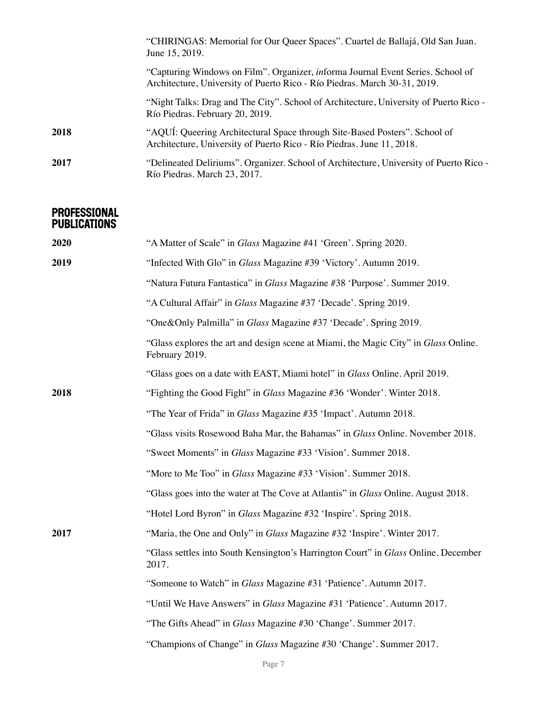|      | "CHIRINGAS: Memorial for Our Queer Spaces". Cuartel de Ballajá, Old San Juan.<br>June 15, 2019.                                                                      |
|------|----------------------------------------------------------------------------------------------------------------------------------------------------------------------|
|      | "Capturing Windows on Film". Organizer, <i>informa Journal Event Series</i> . School of<br>Architecture, University of Puerto Rico - Río Piedras. March 30-31, 2019. |
|      | "Night Talks: Drag and The City". School of Architecture, University of Puerto Rico -<br>Río Piedras. February 20, 2019.                                             |
| 2018 | "AQUÍ: Queering Architectural Space through Site-Based Posters". School of<br>Architecture, University of Puerto Rico - Río Piedras. June 11, 2018.                  |
| 2017 | "Delineated Deliriums". Organizer. School of Architecture, University of Puerto Rico -<br>Río Piedras. March 23, 2017.                                               |
|      |                                                                                                                                                                      |

#### PROFESSIONAL PUBLICATIONS

| 2020 | "A Matter of Scale" in Glass Magazine #41 'Green'. Spring 2020.                                       |
|------|-------------------------------------------------------------------------------------------------------|
| 2019 | "Infected With Glo" in Glass Magazine #39 'Victory'. Autumn 2019.                                     |
|      | "Natura Futura Fantastica" in Glass Magazine #38 'Purpose'. Summer 2019.                              |
|      | "A Cultural Affair" in Glass Magazine #37 'Decade'. Spring 2019.                                      |
|      | "One&Only Palmilla" in Glass Magazine #37 'Decade'. Spring 2019.                                      |
|      | "Glass explores the art and design scene at Miami, the Magic City" in Glass Online.<br>February 2019. |
|      | "Glass goes on a date with EAST, Miami hotel" in Glass Online. April 2019.                            |
| 2018 | "Fighting the Good Fight" in Glass Magazine #36 'Wonder'. Winter 2018.                                |
|      | "The Year of Frida" in Glass Magazine #35 'Impact'. Autumn 2018.                                      |
|      | "Glass visits Rosewood Baha Mar, the Bahamas" in Glass Online. November 2018.                         |
|      | "Sweet Moments" in Glass Magazine #33 'Vision'. Summer 2018.                                          |
|      | "More to Me Too" in Glass Magazine #33 'Vision'. Summer 2018.                                         |
|      | "Glass goes into the water at The Cove at Atlantis" in Glass Online. August 2018.                     |
|      | "Hotel Lord Byron" in Glass Magazine #32 'Inspire'. Spring 2018.                                      |
| 2017 | "Maria, the One and Only" in Glass Magazine #32 'Inspire'. Winter 2017.                               |
|      | "Glass settles into South Kensington's Harrington Court" in Glass Online. December<br>2017.           |
|      | "Someone to Watch" in Glass Magazine #31 'Patience'. Autumn 2017.                                     |
|      | "Until We Have Answers" in Glass Magazine #31 'Patience'. Autumn 2017.                                |
|      | "The Gifts Ahead" in Glass Magazine #30 'Change'. Summer 2017.                                        |
|      | "Champions of Change" in Glass Magazine #30 'Change'. Summer 2017.                                    |
|      |                                                                                                       |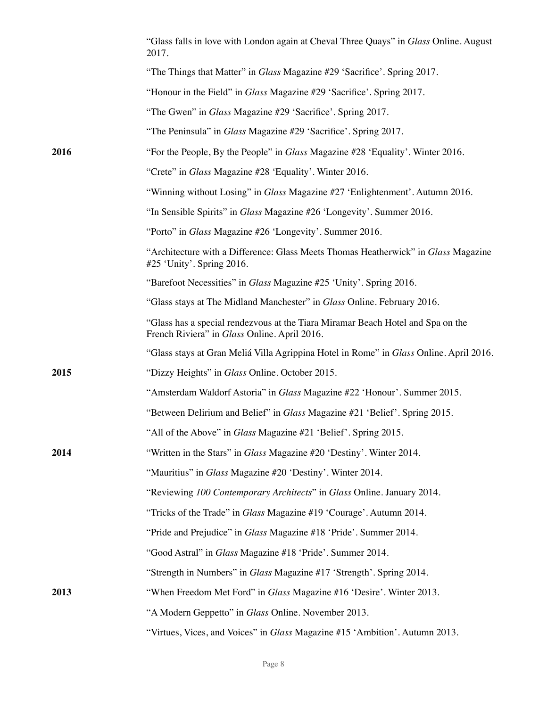|      | "Glass falls in love with London again at Cheval Three Quays" in Glass Online. August<br>2017.                                  |
|------|---------------------------------------------------------------------------------------------------------------------------------|
|      | "The Things that Matter" in Glass Magazine #29 'Sacrifice'. Spring 2017.                                                        |
|      | "Honour in the Field" in Glass Magazine #29 'Sacrifice'. Spring 2017.                                                           |
|      | "The Gwen" in Glass Magazine #29 'Sacrifice'. Spring 2017.                                                                      |
|      | "The Peninsula" in Glass Magazine #29 'Sacrifice'. Spring 2017.                                                                 |
| 2016 | "For the People, By the People" in <i>Glass Magazine #28 'Equality'</i> . Winter 2016.                                          |
|      | "Crete" in Glass Magazine #28 'Equality'. Winter 2016.                                                                          |
|      | "Winning without Losing" in Glass Magazine #27 'Enlightenment'. Autumn 2016.                                                    |
|      | "In Sensible Spirits" in Glass Magazine #26 'Longevity'. Summer 2016.                                                           |
|      | "Porto" in <i>Glass</i> Magazine #26 'Longevity'. Summer 2016.                                                                  |
|      | "Architecture with a Difference: Glass Meets Thomas Heatherwick" in <i>Glass</i> Magazine<br>#25 'Unity'. Spring 2016.          |
|      | "Barefoot Necessities" in Glass Magazine #25 'Unity'. Spring 2016.                                                              |
|      | "Glass stays at The Midland Manchester" in Glass Online. February 2016.                                                         |
|      | "Glass has a special rendezvous at the Tiara Miramar Beach Hotel and Spa on the<br>French Riviera" in Glass Online. April 2016. |
|      | "Glass stays at Gran Meliá Villa Agrippina Hotel in Rome" in Glass Online. April 2016.                                          |
| 2015 | "Dizzy Heights" in Glass Online. October 2015.                                                                                  |
|      | "Amsterdam Waldorf Astoria" in Glass Magazine #22 'Honour'. Summer 2015.                                                        |
|      | "Between Delirium and Belief" in Glass Magazine #21 'Belief'. Spring 2015.                                                      |
|      | "All of the Above" in <i>Glass</i> Magazine #21 'Belief'. Spring 2015.                                                          |
| 2014 | "Written in the Stars" in Glass Magazine #20 'Destiny'. Winter 2014.                                                            |
|      | "Mauritius" in Glass Magazine #20 'Destiny'. Winter 2014.                                                                       |
|      | "Reviewing 100 Contemporary Architects" in Glass Online. January 2014.                                                          |
|      | "Tricks of the Trade" in Glass Magazine #19 'Courage'. Autumn 2014.                                                             |
|      | "Pride and Prejudice" in Glass Magazine #18 'Pride'. Summer 2014.                                                               |
|      | "Good Astral" in Glass Magazine #18 'Pride'. Summer 2014.                                                                       |
|      | "Strength in Numbers" in Glass Magazine #17 'Strength'. Spring 2014.                                                            |
| 2013 | "When Freedom Met Ford" in Glass Magazine #16 'Desire'. Winter 2013.                                                            |
|      | "A Modern Geppetto" in Glass Online. November 2013.                                                                             |
|      | "Virtues, Vices, and Voices" in Glass Magazine #15 'Ambition'. Autumn 2013.                                                     |